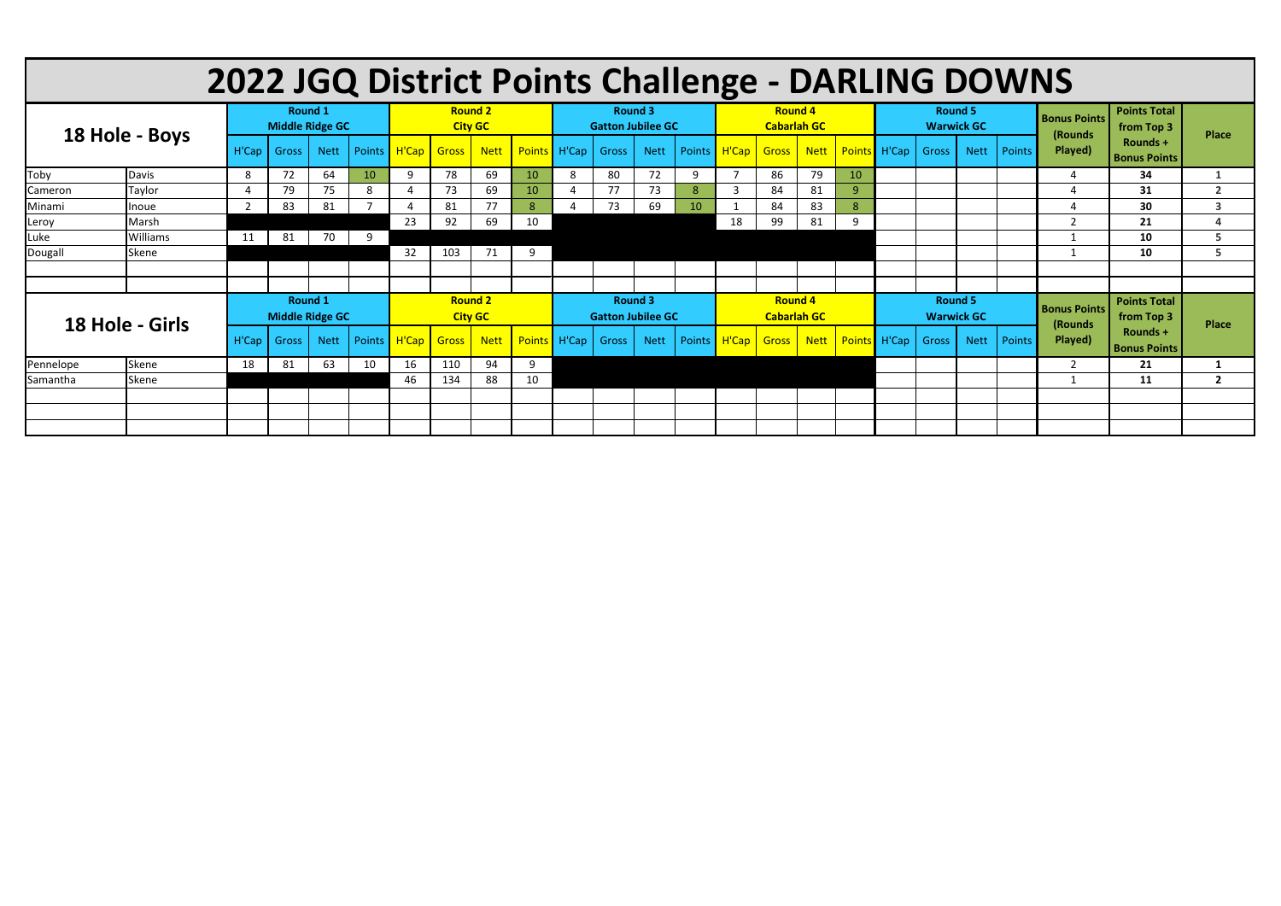| 2022 JGQ District Points Challenge - DARLING DOWNS |                 |                                          |                        |                |    |                                  |              |             |                 |                                            |       |             |    |                                      |       |             |    |                                     |              |             |        |                                 |                                   |                         |
|----------------------------------------------------|-----------------|------------------------------------------|------------------------|----------------|----|----------------------------------|--------------|-------------|-----------------|--------------------------------------------|-------|-------------|----|--------------------------------------|-------|-------------|----|-------------------------------------|--------------|-------------|--------|---------------------------------|-----------------------------------|-------------------------|
|                                                    |                 |                                          | <b>Middle Ridge GC</b> | <b>Round 1</b> |    | <b>Round 2</b><br><b>City GC</b> |              |             |                 | <b>Round 3</b><br><b>Gatton Jubilee GC</b> |       |             |    | <b>Round 4</b><br><b>Cabarlah GC</b> |       |             |    | <b>Round 5</b><br><b>Warwick GC</b> |              |             |        | <b>Bonus Points</b><br>(Rounds) | <b>Points Total</b><br>from Top 3 | <b>Place</b>            |
| 18 Hole - Boys                                     |                 | H'Cap                                    | <b>Gross</b>           | <b>Nett</b>    |    | Points H'Cap Gross               |              | <b>Nett</b> |                 | Points H'Cap Gross                         |       | <b>Nett</b> |    | Points   H'Cap                       | Gross | <b>Nett</b> |    | Points H'Cap                        | Gross        | <b>Nett</b> | Points | Played)                         | Rounds +<br><b>Bonus Points</b>   |                         |
| Toby                                               | Davis           | 8                                        | 72                     | 64             | 10 | -9                               | 78           | 69          | 10              | 8                                          | 80    | 72          | 9  |                                      | 86    | 79          | 10 |                                     |              |             |        | -4                              | 34                                | $\mathbf{1}$            |
| Cameron                                            | Taylor          |                                          | 79                     | 75             | 8  |                                  | 73           | 69          | 10-             | 4                                          | 77    | 73          |    | 3                                    | 84    | 81          | 9  |                                     |              |             |        | ⊿                               | 31                                | $\overline{2}$          |
| Minami                                             | <b>Inoue</b>    | $\mathcal{P}$                            | 83                     | 81             |    |                                  | 81           | 77          |                 |                                            | 73    | 69          | 10 |                                      | 84    | 83          | 8  |                                     |              |             |        | $\Lambda$                       | 30                                | $\overline{\mathbf{3}}$ |
| Leroy                                              | Marsh           |                                          |                        |                |    | 23                               | 92           | 69          | 10 <sup>°</sup> |                                            |       |             |    | 18                                   | 99    | 81          | 9  |                                     |              |             |        | $\overline{2}$                  | 21                                | 4                       |
| Luke                                               | <b>Williams</b> | 11                                       | 81                     | 70             | 9  |                                  |              |             |                 |                                            |       |             |    |                                      |       |             |    |                                     |              |             |        |                                 | 10                                | 5                       |
| Dougall                                            | Skene           |                                          |                        |                |    | 32                               | 103          | 71          | 9               |                                            |       |             |    |                                      |       |             |    |                                     |              |             |        |                                 | 10                                | 5                       |
|                                                    |                 |                                          |                        |                |    |                                  |              |             |                 |                                            |       |             |    |                                      |       |             |    |                                     |              |             |        |                                 |                                   |                         |
|                                                    |                 |                                          |                        |                |    |                                  |              |             |                 |                                            |       |             |    |                                      |       |             |    |                                     |              |             |        |                                 |                                   |                         |
| 18 Hole - Girls                                    |                 | <b>Round 1</b><br><b>Middle Ridge GC</b> |                        |                |    | <b>Round 2</b><br><b>City GC</b> |              |             |                 | <b>Round 3</b><br><b>Gatton Jubilee GC</b> |       |             |    | <b>Round 4</b><br><b>Cabarlah GC</b> |       |             |    | <b>Round 5</b><br><b>Warwick GC</b> |              |             |        | <b>Bonus Points</b><br>(Rounds  | <b>Points Total</b><br>from Top 3 | <b>Place</b>            |
|                                                    |                 | H'Cap                                    | Gross                  | <b>Nett</b>    |    | Points   H'Cap                   | <b>Gross</b> | <b>Nett</b> |                 | Points H'Cap                               | Gross | <b>Nett</b> |    | Points   H'Cap                       | Gross | <b>Nett</b> |    | Points H'Cap                        | <b>Gross</b> | <b>Nett</b> | Points | Played)                         | Rounds +<br><b>Bonus Points</b>   |                         |
| Pennelope                                          | Skene           | 18                                       | 81                     | 63             | 10 | 16                               | 110          | 94          | 9               |                                            |       |             |    |                                      |       |             |    |                                     |              |             |        | $\overline{2}$                  | 21                                |                         |
| Samantha                                           | Skene           |                                          |                        |                |    | 46                               | 134          | 88          | 10              |                                            |       |             |    |                                      |       |             |    |                                     |              |             |        |                                 | 11                                | $\overline{2}$          |
|                                                    |                 |                                          |                        |                |    |                                  |              |             |                 |                                            |       |             |    |                                      |       |             |    |                                     |              |             |        |                                 |                                   |                         |
|                                                    |                 |                                          |                        |                |    |                                  |              |             |                 |                                            |       |             |    |                                      |       |             |    |                                     |              |             |        |                                 |                                   |                         |
|                                                    |                 |                                          |                        |                |    |                                  |              |             |                 |                                            |       |             |    |                                      |       |             |    |                                     |              |             |        |                                 |                                   |                         |